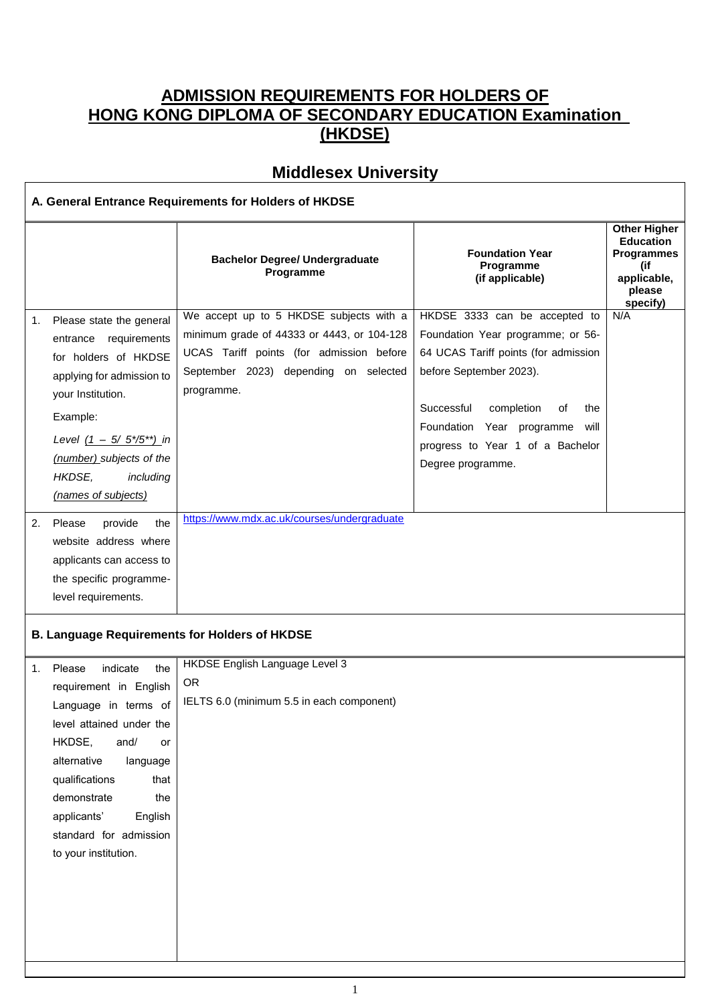## **ADMISSION REQUIREMENTS FOR HOLDERS OF HONG KONG DIPLOMA OF SECONDARY EDUCATION Examination (HKDSE)**

## **Middlesex University**

 $\mathbf{r}$ 

| A. General Entrance Requirements for Holders of HKDSE |                                                                                                                                                                                                                                                                                           |                                                                                                                                                                                          |                                                                                                                                                                                                                                                                              |                                                                                                          |
|-------------------------------------------------------|-------------------------------------------------------------------------------------------------------------------------------------------------------------------------------------------------------------------------------------------------------------------------------------------|------------------------------------------------------------------------------------------------------------------------------------------------------------------------------------------|------------------------------------------------------------------------------------------------------------------------------------------------------------------------------------------------------------------------------------------------------------------------------|----------------------------------------------------------------------------------------------------------|
|                                                       |                                                                                                                                                                                                                                                                                           | <b>Bachelor Degree/ Undergraduate</b><br>Programme                                                                                                                                       | <b>Foundation Year</b><br>Programme<br>(if applicable)                                                                                                                                                                                                                       | <b>Other Higher</b><br><b>Education</b><br><b>Programmes</b><br>(if<br>applicable,<br>please<br>specify) |
| 1.                                                    | Please state the general<br>requirements<br>entrance<br>for holders of HKDSE<br>applying for admission to<br>your Institution.<br>Example:<br>Level $(1 - 5/5*/5^{**})$ in<br>(number) subjects of the<br>HKDSE,<br>including<br>(names of subjects)                                      | We accept up to 5 HKDSE subjects with a<br>minimum grade of 44333 or 4443, or 104-128<br>UCAS Tariff points (for admission before<br>September 2023) depending on selected<br>programme. | HKDSE 3333 can be accepted to<br>Foundation Year programme; or 56-<br>64 UCAS Tariff points (for admission<br>before September 2023).<br>Successful<br>completion<br>the<br>οf<br>Foundation Year programme<br>will<br>progress to Year 1 of a Bachelor<br>Degree programme. | N/A                                                                                                      |
| 2.                                                    | provide<br>the<br>Please<br>website address where<br>applicants can access to<br>the specific programme-<br>level requirements.                                                                                                                                                           | https://www.mdx.ac.uk/courses/undergraduate<br><b>B. Language Requirements for Holders of HKDSE</b>                                                                                      |                                                                                                                                                                                                                                                                              |                                                                                                          |
|                                                       | 1. Please<br>indicate<br>the<br>requirement in English<br>Language in terms of<br>level attained under the<br>HKDSE,<br>and/<br>or<br>alternative<br>language<br>qualifications<br>that<br>demonstrate<br>the<br>applicants'<br>English<br>standard for admission<br>to your institution. | HKDSE English Language Level 3<br><b>OR</b><br>IELTS 6.0 (minimum 5.5 in each component)                                                                                                 |                                                                                                                                                                                                                                                                              |                                                                                                          |